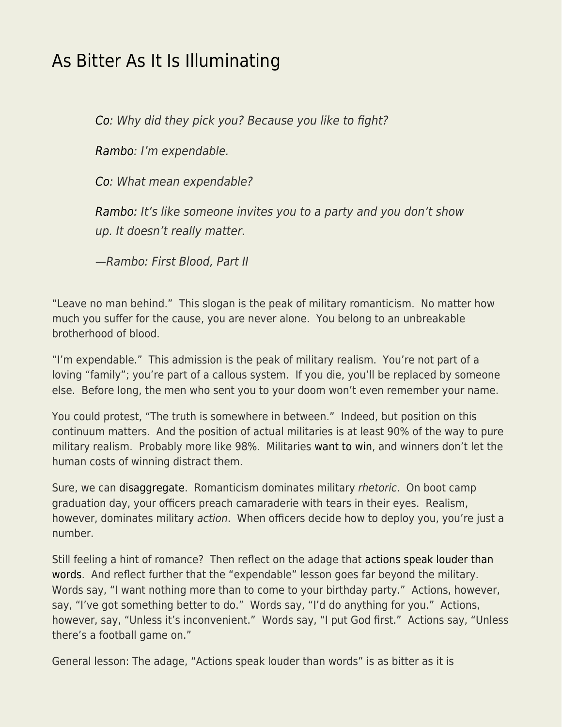## [As Bitter As It Is Illuminating](https://everything-voluntary.com/as-bitter-as-it-is-illuminating)

[Co](https://www.imdb.com/name/nm0630100/?ref_=tt_ch): Why did they pick you? Because you like to fight?

[Rambo:](https://www.imdb.com/name/nm0000230/?ref_=tt_ch) I'm expendable.

[Co](https://www.imdb.com/name/nm0630100/?ref_=tt_ch): What mean expendable?

[Rambo:](https://www.imdb.com/name/nm0000230/?ref_=tt_ch) It's like someone invites you to a party and you don't show up. It doesn't really matter.

—Rambo: First Blood, Part II

"Leave no man behind." This slogan is the peak of military romanticism. No matter how much you suffer for the cause, you are never alone. You belong to an unbreakable brotherhood of blood.

"I'm expendable." This admission is the peak of military realism. You're not part of a loving "family"; you're part of a callous system. If you die, you'll be replaced by someone else. Before long, the men who sent you to your doom won't even remember your name.

You could protest, "The truth is somewhere in between." Indeed, but position on this continuum matters. And the position of actual militaries is at least 90% of the way to pure military realism. Probably more like 98%. Militaries [want to win,](http://www.econlib.org/against-winning/) and winners don't let the human costs of winning distract them.

Sure, we can [disaggregate](https://www.econlib.org/?p=45985). Romanticism dominates military rhetoric. On boot camp graduation day, your officers preach camaraderie with tears in their eyes. Realism, however, dominates military action. When officers decide how to deploy you, you're just a number.

Still feeling a hint of romance? Then reflect on the adage that [actions speak louder than](https://www.econlib.org/archives/2016/05/lip_service.html) [words](https://www.econlib.org/archives/2016/05/lip_service.html). And reflect further that the "expendable" lesson goes far beyond the military. Words say, "I want nothing more than to come to your birthday party." Actions, however, say, "I've got something better to do." Words say, "I'd do anything for you." Actions, however, say, "Unless it's inconvenient." Words say, "I put God first." Actions say, "Unless there's a football game on."

General lesson: The adage, "Actions speak louder than words" is as bitter as it is